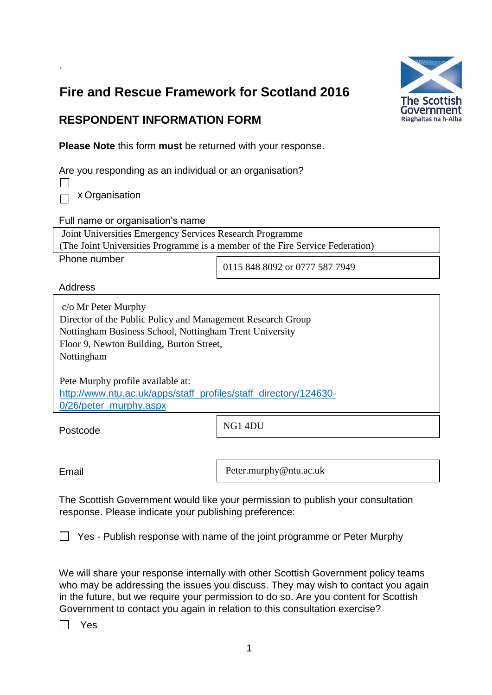# **Fire and Rescue Framework for Scotland 2016**



### **RESPONDENT INFORMATION FORM**

**Please Note** this form **must** be returned with your response.

Are you responding as an individual or an organisation?

 $\Box$  x Organisation

.

Full name or organisation's name

Joint Universities Emergency Services Research Programme

(The Joint Universities Programme is a member of the Fire Service Federation)

Phone number

0115 848 8092 or 0777 587 7949

**Address** 

c/o Mr Peter Murphy Director of the Public Policy and Management Research Group Nottingham Business School, Nottingham Trent University Floor 9, Newton Building, Burton Street, Nottingham

Pete Murphy profile available at: [http://www.ntu.ac.uk/apps/staff\\_profiles/staff\\_directory/124630-](http://www.ntu.ac.uk/apps/staff_profiles/staff_directory/124630-0/26/peter_murphy.aspx) [0/26/peter\\_murphy.aspx](http://www.ntu.ac.uk/apps/staff_profiles/staff_directory/124630-0/26/peter_murphy.aspx)

Postcode

NG1 4DU

Email

Peter.murphy@ntu.ac.uk

The Scottish Government would like your permission to publish your consultation response. Please indicate your publishing preference:

 $\Box$  Yes - Publish response with name of the joint programme or Peter Murphy

We will share your response internally with other Scottish Government policy teams who may be addressing the issues you discuss. They may wish to contact you again in the future, but we require your permission to do so. Are you content for Scottish Government to contact you again in relation to this consultation exercise?

 $\Box$  Yes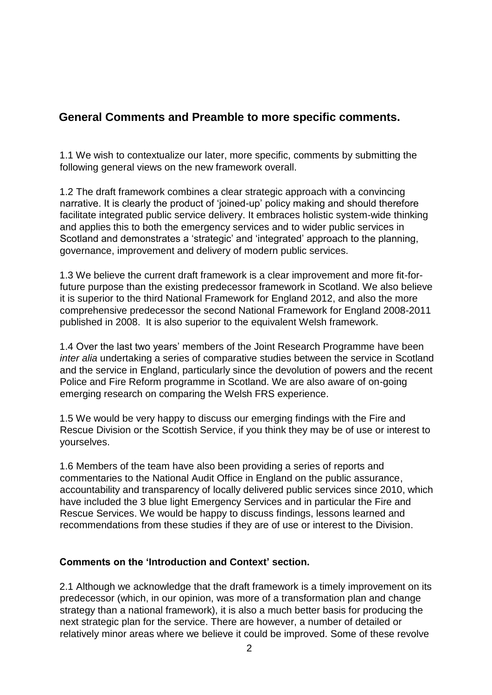### **General Comments and Preamble to more specific comments.**

1.1 We wish to contextualize our later, more specific, comments by submitting the following general views on the new framework overall.

1.2 The draft framework combines a clear strategic approach with a convincing narrative. It is clearly the product of 'joined-up' policy making and should therefore facilitate integrated public service delivery. It embraces holistic system-wide thinking and applies this to both the emergency services and to wider public services in Scotland and demonstrates a 'strategic' and 'integrated' approach to the planning, governance, improvement and delivery of modern public services.

1.3 We believe the current draft framework is a clear improvement and more fit-forfuture purpose than the existing predecessor framework in Scotland. We also believe it is superior to the third National Framework for England 2012, and also the more comprehensive predecessor the second National Framework for England 2008-2011 published in 2008. It is also superior to the equivalent Welsh framework.

1.4 Over the last two years' members of the Joint Research Programme have been *inter alia* undertaking a series of comparative studies between the service in Scotland and the service in England, particularly since the devolution of powers and the recent Police and Fire Reform programme in Scotland. We are also aware of on-going emerging research on comparing the Welsh FRS experience.

1.5 We would be very happy to discuss our emerging findings with the Fire and Rescue Division or the Scottish Service, if you think they may be of use or interest to yourselves.

1.6 Members of the team have also been providing a series of reports and commentaries to the National Audit Office in England on the public assurance, accountability and transparency of locally delivered public services since 2010, which have included the 3 blue light Emergency Services and in particular the Fire and Rescue Services. We would be happy to discuss findings, lessons learned and recommendations from these studies if they are of use or interest to the Division.

#### **Comments on the 'Introduction and Context' section.**

2.1 Although we acknowledge that the draft framework is a timely improvement on its predecessor (which, in our opinion, was more of a transformation plan and change strategy than a national framework), it is also a much better basis for producing the next strategic plan for the service. There are however, a number of detailed or relatively minor areas where we believe it could be improved. Some of these revolve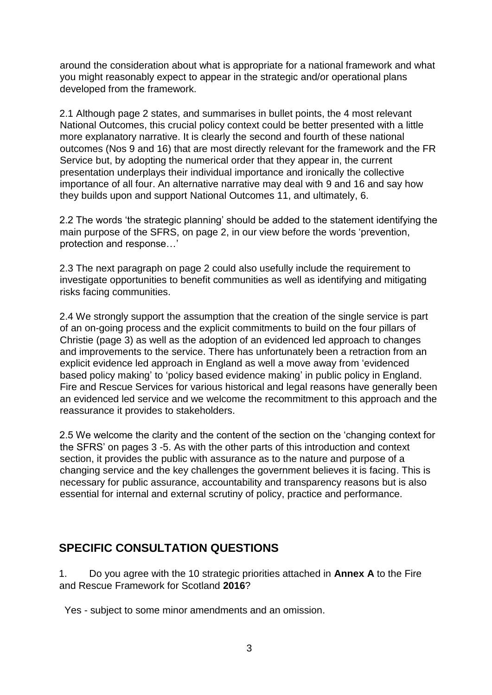around the consideration about what is appropriate for a national framework and what you might reasonably expect to appear in the strategic and/or operational plans developed from the framework.

2.1 Although page 2 states, and summarises in bullet points, the 4 most relevant National Outcomes, this crucial policy context could be better presented with a little more explanatory narrative. It is clearly the second and fourth of these national outcomes (Nos 9 and 16) that are most directly relevant for the framework and the FR Service but, by adopting the numerical order that they appear in, the current presentation underplays their individual importance and ironically the collective importance of all four. An alternative narrative may deal with 9 and 16 and say how they builds upon and support National Outcomes 11, and ultimately, 6.

2.2 The words 'the strategic planning' should be added to the statement identifying the main purpose of the SFRS, on page 2, in our view before the words 'prevention, protection and response…'

2.3 The next paragraph on page 2 could also usefully include the requirement to investigate opportunities to benefit communities as well as identifying and mitigating risks facing communities.

2.4 We strongly support the assumption that the creation of the single service is part of an on-going process and the explicit commitments to build on the four pillars of Christie (page 3) as well as the adoption of an evidenced led approach to changes and improvements to the service. There has unfortunately been a retraction from an explicit evidence led approach in England as well a move away from 'evidenced based policy making' to 'policy based evidence making' in public policy in England. Fire and Rescue Services for various historical and legal reasons have generally been an evidenced led service and we welcome the recommitment to this approach and the reassurance it provides to stakeholders.

2.5 We welcome the clarity and the content of the section on the 'changing context for the SFRS' on pages 3 -5. As with the other parts of this introduction and context section, it provides the public with assurance as to the nature and purpose of a changing service and the key challenges the government believes it is facing. This is necessary for public assurance, accountability and transparency reasons but is also essential for internal and external scrutiny of policy, practice and performance.

## **SPECIFIC CONSULTATION QUESTIONS**

1. Do you agree with the 10 strategic priorities attached in **Annex A** to the Fire and Rescue Framework for Scotland **2016**?

Yes - subject to some minor amendments and an omission.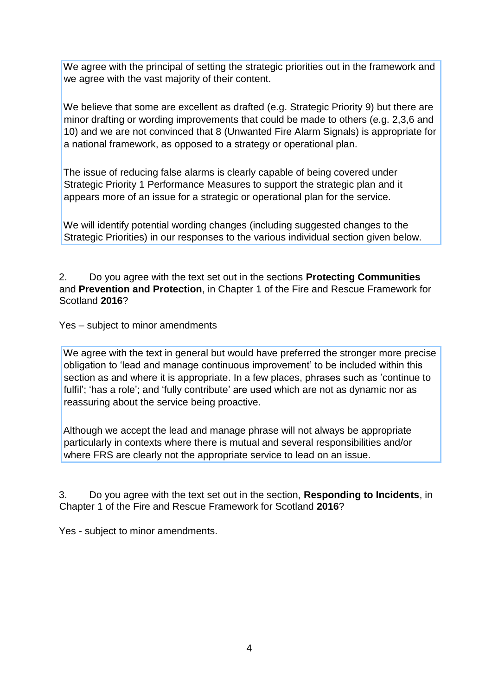We agree with the principal of setting the strategic priorities out in the framework and we agree with the vast majority of their content.

We believe that some are excellent as drafted (e.g. Strategic Priority 9) but there are minor drafting or wording improvements that could be made to others (e.g. 2,3,6 and 10) and we are not convinced that 8 (Unwanted Fire Alarm Signals) is appropriate for a national framework, as opposed to a strategy or operational plan.

The issue of reducing false alarms is clearly capable of being covered under Strategic Priority 1 Performance Measures to support the strategic plan and it appears more of an issue for a strategic or operational plan for the service.

We will identify potential wording changes (including suggested changes to the Strategic Priorities) in our responses to the various individual section given below.

2. Do you agree with the text set out in the sections **Protecting Communities** and **Prevention and Protection**, in Chapter 1 of the Fire and Rescue Framework for Scotland **2016**?

Yes – subject to minor amendments

We agree with the text in general but would have preferred the stronger more precise obligation to 'lead and manage continuous improvement' to be included within this section as and where it is appropriate. In a few places, phrases such as 'continue to fulfil'; 'has a role'; and 'fully contribute' are used which are not as dynamic nor as reassuring about the service being proactive.

Although we accept the lead and manage phrase will not always be appropriate particularly in contexts where there is mutual and several responsibilities and/or where FRS are clearly not the appropriate service to lead on an issue.

3. Do you agree with the text set out in the section, **Responding to Incidents**, in Chapter 1 of the Fire and Rescue Framework for Scotland **2016**?

Yes - subject to minor amendments.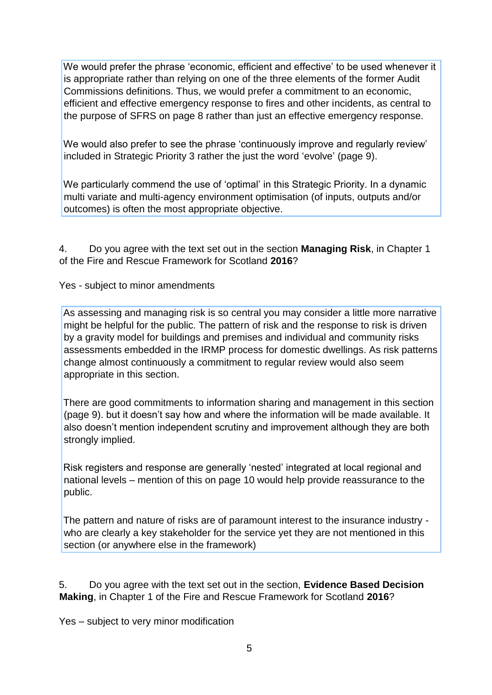We would prefer the phrase 'economic, efficient and effective' to be used whenever it is appropriate rather than relying on one of the three elements of the former Audit Commissions definitions. Thus, we would prefer a commitment to an economic, efficient and effective emergency response to fires and other incidents, as central to the purpose of SFRS on page 8 rather than just an effective emergency response.

We would also prefer to see the phrase 'continuously improve and regularly review' included in Strategic Priority 3 rather the just the word 'evolve' (page 9).

We particularly commend the use of 'optimal' in this Strategic Priority. In a dynamic multi variate and multi-agency environment optimisation (of inputs, outputs and/or outcomes) is often the most appropriate objective.

4. Do you agree with the text set out in the section **Managing Risk**, in Chapter 1 of the Fire and Rescue Framework for Scotland **2016**?

Yes - subject to minor amendments

As assessing and managing risk is so central you may consider a little more narrative might be helpful for the public. The pattern of risk and the response to risk is driven by a gravity model for buildings and premises and individual and community risks assessments embedded in the IRMP process for domestic dwellings. As risk patterns change almost continuously a commitment to regular review would also seem appropriate in this section.

There are good commitments to information sharing and management in this section (page 9). but it doesn't say how and where the information will be made available. It also doesn't mention independent scrutiny and improvement although they are both strongly implied.

Risk registers and response are generally 'nested' integrated at local regional and national levels – mention of this on page 10 would help provide reassurance to the public.

The pattern and nature of risks are of paramount interest to the insurance industry who are clearly a key stakeholder for the service yet they are not mentioned in this section (or anywhere else in the framework)

5. Do you agree with the text set out in the section, **Evidence Based Decision Making**, in Chapter 1 of the Fire and Rescue Framework for Scotland **2016**?

Yes – subject to very minor modification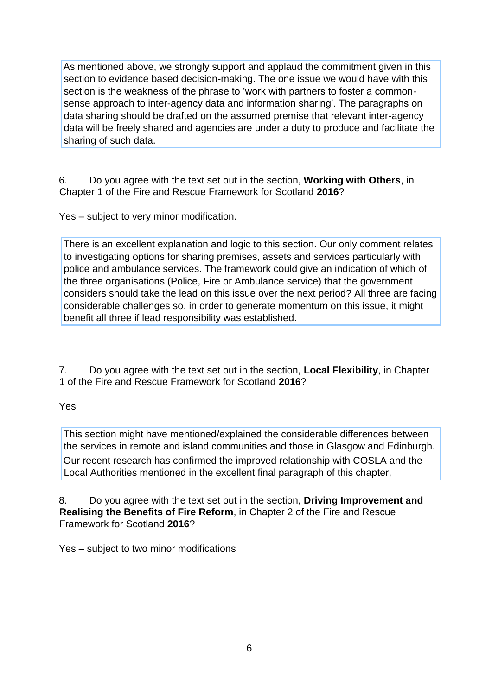As mentioned above, we strongly support and applaud the commitment given in this section to evidence based decision-making. The one issue we would have with this section is the weakness of the phrase to 'work with partners to foster a commonsense approach to inter-agency data and information sharing'. The paragraphs on data sharing should be drafted on the assumed premise that relevant inter-agency data will be freely shared and agencies are under a duty to produce and facilitate the sharing of such data.

6. Do you agree with the text set out in the section, **Working with Others**, in Chapter 1 of the Fire and Rescue Framework for Scotland **2016**?

Yes – subject to very minor modification.

There is an excellent explanation and logic to this section. Our only comment relates to investigating options for sharing premises, assets and services particularly with police and ambulance services. The framework could give an indication of which of the three organisations (Police, Fire or Ambulance service) that the government considers should take the lead on this issue over the next period? All three are facing considerable challenges so, in order to generate momentum on this issue, it might benefit all three if lead responsibility was established.

7. Do you agree with the text set out in the section, **Local Flexibility**, in Chapter 1 of the Fire and Rescue Framework for Scotland **2016**?

### Yes

This section might have mentioned/explained the considerable differences between the services in remote and island communities and those in Glasgow and Edinburgh. Our recent research has confirmed the improved relationship with COSLA and the Local Authorities mentioned in the excellent final paragraph of this chapter,

8. Do you agree with the text set out in the section, **Driving Improvement and Realising the Benefits of Fire Reform**, in Chapter 2 of the Fire and Rescue Framework for Scotland **2016**?

Yes – subject to two minor modifications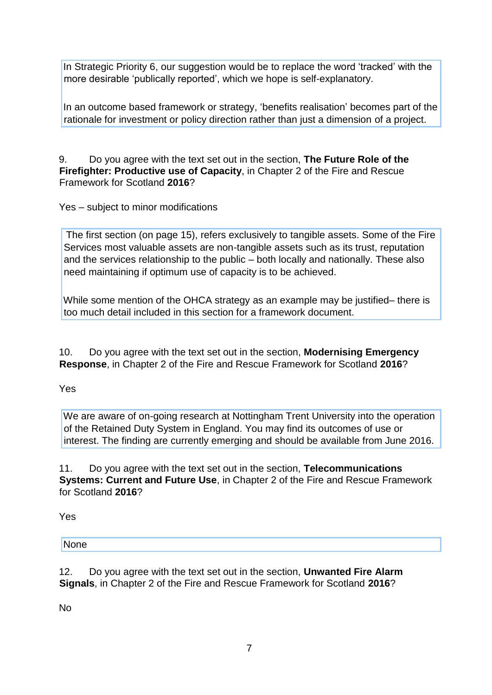In Strategic Priority 6, our suggestion would be to replace the word 'tracked' with the more desirable 'publically reported', which we hope is self-explanatory.

In an outcome based framework or strategy, 'benefits realisation' becomes part of the rationale for investment or policy direction rather than just a dimension of a project.

9. Do you agree with the text set out in the section, **The Future Role of the Firefighter: Productive use of Capacity**, in Chapter 2 of the Fire and Rescue Framework for Scotland **2016**?

Yes – subject to minor modifications

The first section (on page 15), refers exclusively to tangible assets. Some of the Fire Services most valuable assets are non-tangible assets such as its trust, reputation and the services relationship to the public – both locally and nationally. These also need maintaining if optimum use of capacity is to be achieved.

While some mention of the OHCA strategy as an example may be justified– there is too much detail included in this section for a framework document.

10. Do you agree with the text set out in the section, **Modernising Emergency Response**, in Chapter 2 of the Fire and Rescue Framework for Scotland **2016**?

Yes

We are aware of on-going research at Nottingham Trent University into the operation of the Retained Duty System in England. You may find its outcomes of use or interest. The finding are currently emerging and should be available from June 2016.

11. Do you agree with the text set out in the section, **Telecommunications Systems: Current and Future Use**, in Chapter 2 of the Fire and Rescue Framework for Scotland **2016**?

Yes

**None** 

12. Do you agree with the text set out in the section, **Unwanted Fire Alarm Signals**, in Chapter 2 of the Fire and Rescue Framework for Scotland **2016**?

No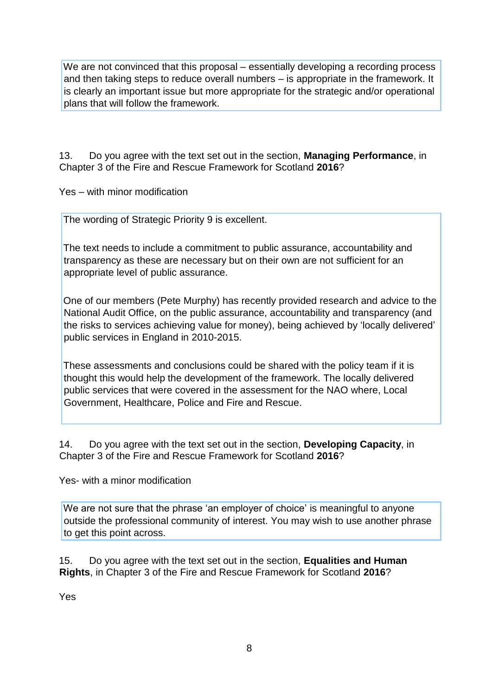We are not convinced that this proposal – essentially developing a recording process and then taking steps to reduce overall numbers – is appropriate in the framework. It is clearly an important issue but more appropriate for the strategic and/or operational plans that will follow the framework.

13. Do you agree with the text set out in the section, **Managing Performance**, in Chapter 3 of the Fire and Rescue Framework for Scotland **2016**?

Yes – with minor modification

The wording of Strategic Priority 9 is excellent.

The text needs to include a commitment to public assurance, accountability and transparency as these are necessary but on their own are not sufficient for an appropriate level of public assurance.

One of our members (Pete Murphy) has recently provided research and advice to the National Audit Office, on the public assurance, accountability and transparency (and the risks to services achieving value for money), being achieved by 'locally delivered' public services in England in 2010-2015.

These assessments and conclusions could be shared with the policy team if it is thought this would help the development of the framework. The locally delivered public services that were covered in the assessment for the NAO where, Local Government, Healthcare, Police and Fire and Rescue.

14. Do you agree with the text set out in the section, **Developing Capacity**, in Chapter 3 of the Fire and Rescue Framework for Scotland **2016**?

Yes- with a minor modification

We are not sure that the phrase 'an employer of choice' is meaningful to anyone outside the professional community of interest. You may wish to use another phrase to get this point across.

15. Do you agree with the text set out in the section, **Equalities and Human Rights**, in Chapter 3 of the Fire and Rescue Framework for Scotland **2016**?

Yes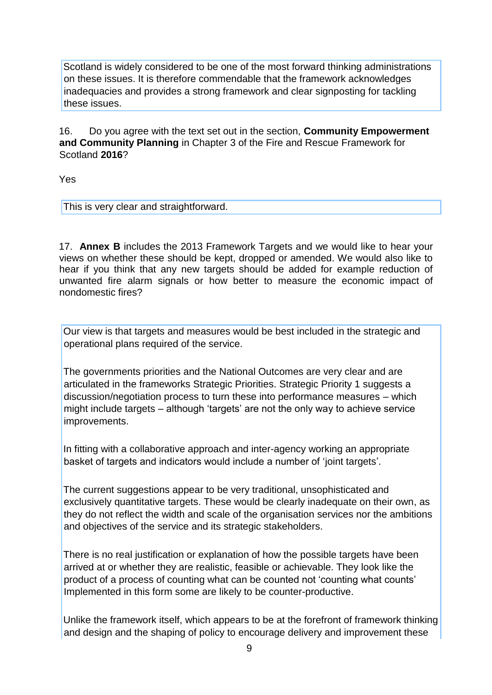Scotland is widely considered to be one of the most forward thinking administrations on these issues. It is therefore commendable that the framework acknowledges inadequacies and provides a strong framework and clear signposting for tackling these issues.

16. Do you agree with the text set out in the section, **Community Empowerment and Community Planning** in Chapter 3 of the Fire and Rescue Framework for Scotland **2016**?

Yes

This is very clear and straightforward.

17. **Annex B** includes the 2013 Framework Targets and we would like to hear your views on whether these should be kept, dropped or amended. We would also like to hear if you think that any new targets should be added for example reduction of unwanted fire alarm signals or how better to measure the economic impact of nondomestic fires?

Our view is that targets and measures would be best included in the strategic and operational plans required of the service.

The governments priorities and the National Outcomes are very clear and are articulated in the frameworks Strategic Priorities. Strategic Priority 1 suggests a discussion/negotiation process to turn these into performance measures – which might include targets – although 'targets' are not the only way to achieve service improvements.

In fitting with a collaborative approach and inter-agency working an appropriate basket of targets and indicators would include a number of 'joint targets'.

The current suggestions appear to be very traditional, unsophisticated and exclusively quantitative targets. These would be clearly inadequate on their own, as they do not reflect the width and scale of the organisation services nor the ambitions and objectives of the service and its strategic stakeholders.

There is no real justification or explanation of how the possible targets have been arrived at or whether they are realistic, feasible or achievable. They look like the product of a process of counting what can be counted not 'counting what counts' Implemented in this form some are likely to be counter-productive.

Unlike the framework itself, which appears to be at the forefront of framework thinking and design and the shaping of policy to encourage delivery and improvement these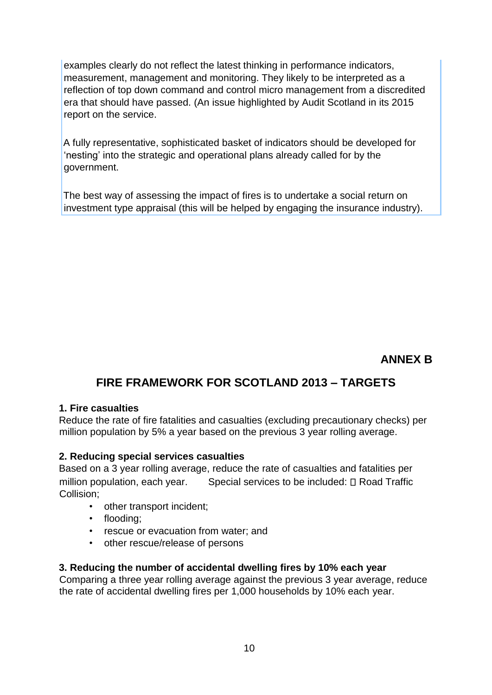examples clearly do not reflect the latest thinking in performance indicators, measurement, management and monitoring. They likely to be interpreted as a reflection of top down command and control micro management from a discredited era that should have passed. (An issue highlighted by Audit Scotland in its 2015 report on the service.

A fully representative, sophisticated basket of indicators should be developed for 'nesting' into the strategic and operational plans already called for by the government.

The best way of assessing the impact of fires is to undertake a social return on investment type appraisal (this will be helped by engaging the insurance industry).

## **ANNEX B**

# **FIRE FRAMEWORK FOR SCOTLAND 2013 – TARGETS**

### **1. Fire casualties**

Reduce the rate of fire fatalities and casualties (excluding precautionary checks) per million population by 5% a year based on the previous 3 year rolling average.

### **2. Reducing special services casualties**

Based on a 3 year rolling average, reduce the rate of casualties and fatalities per million population, each year. Special services to be included:  $\Box$  Road Traffic Collision;

- other transport incident;
- flooding;
- rescue or evacuation from water; and
- other rescue/release of persons

### **3. Reducing the number of accidental dwelling fires by 10% each year**

Comparing a three year rolling average against the previous 3 year average, reduce the rate of accidental dwelling fires per 1,000 households by 10% each year.